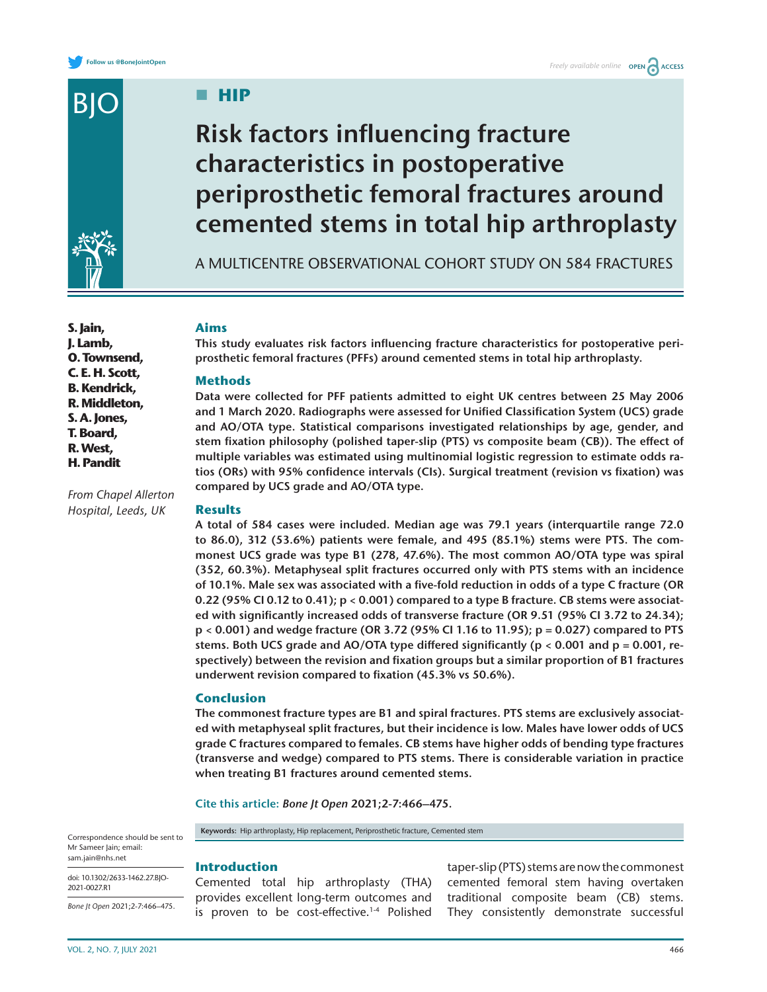

**S. Jain, J. Lamb, O. Townsend, C. E. H. Scott, B. Kendrick, R. Middleton, S. A. Jones, T. Board, R. West, H. Pandit**

*From Chapel Allerton Hospital, Leeds, UK*

**HIP** 

# **Risk factors influencing fracture characteristics in postoperative periprosthetic femoral fractures around cemented stems in total hip arthroplasty**

A MULTICENTRE OBSERVATIONAL COHORT STUDY ON 584 FRACTURES

# **Aims**

**This study evaluates risk factors influencing fracture characteristics for postoperative periprosthetic femoral fractures (PFFs) around cemented stems in total hip arthroplasty.**

# **Methods**

**Data were collected for PFF patients admitted to eight UK centres between 25 May 2006 and 1 March 2020. Radiographs were assessed for Unified Classification System (UCS) grade and AO/OTA type. Statistical comparisons investigated relationships by age, gender, and stem fixation philosophy (polished taper-slip (PTS) vs composite beam (CB)). The effect of multiple variables was estimated using multinomial logistic regression to estimate odds ratios (ORs) with 95% confidence intervals (CIs). Surgical treatment (revision vs fixation) was compared by UCS grade and AO/OTA type.**

# **Results**

**A total of 584 cases were included. Median age was 79.1 years (interquartile range 72.0 to 86.0), 312 (53.6%) patients were female, and 495 (85.1%) stems were PTS. The commonest UCS grade was type B1 (278, 47.6%). The most common AO/OTA type was spiral (352, 60.3%). Metaphyseal split fractures occurred only with PTS stems with an incidence of 10.1%. Male sex was associated with a five-fold reduction in odds of a type C fracture (OR 0.22 (95% CI 0.12 to 0.41); p < 0.001) compared to a type B fracture. CB stems were associated with significantly increased odds of transverse fracture (OR 9.51 (95% CI 3.72 to 24.34); p < 0.001) and wedge fracture (OR 3.72 (95% CI 1.16 to 11.95); p = 0.027) compared to PTS stems. Both UCS grade and AO/OTA type differed significantly (p < 0.001 and p = 0.001, respectively) between the revision and fixation groups but a similar proportion of B1 fractures underwent revision compared to fixation (45.3% vs 50.6%).**

# **Conclusion**

**Introduction**

**The commonest fracture types are B1 and spiral fractures. PTS stems are exclusively associated with metaphyseal split fractures, but their incidence is low. Males have lower odds of UCS grade C fractures compared to females. CB stems have higher odds of bending type fractures (transverse and wedge) compared to PTS stems. There is considerable variation in practice when treating B1 fractures around cemented stems.**

**Cite this article:** *Bone Jt Open* **2021;2-7:466–475.**

**Keywords:** Hip arthroplasty, Hip replacement, Periprosthetic fracture, Cemented stem

Correspondence should be sent to Mr Sameer Jain; email: [sam.jain@nhs.net](mailto:sam.jain@nhs.net)

doi: 10.1302/2633-1462.27.BJO-2021-0027.R1

*Bone Jt Open* 2021;2-7:466–475.

Cemented total hip arthroplasty (THA) provides excellent long-term outcomes and is proven to be cost-effective.<sup>1-4</sup> Polished

taper-slip (PTS) stems are now the commonest cemented femoral stem having overtaken traditional composite beam (CB) stems. They consistently demonstrate successful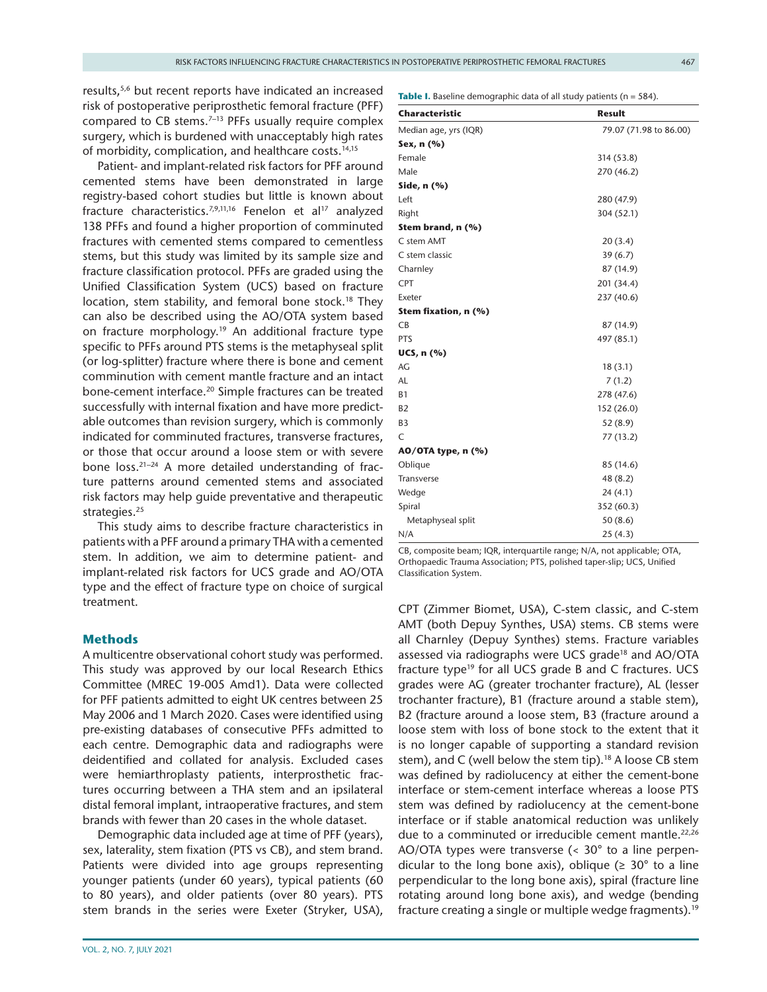results[,5,6](#page-8-1) but recent reports have indicated an increased risk of postoperative periprosthetic femoral fracture (PFF) compared to CB stems.<sup>7-13</sup> PFFs usually require complex surgery, which is burdened with unacceptably high rates of morbidity, complication, and healthcare costs.<sup>[14,15](#page-8-3)</sup>

Patient- and implant-related risk factors for PFF around cemented stems have been demonstrated in large registry-based cohort studies but little is known about fracture characteristics.<sup>[7,9,11,16](#page-8-2)</sup> Fenelon et al<sup>17</sup> analyzed 138 PFFs and found a higher proportion of comminuted fractures with cemented stems compared to cementless stems, but this study was limited by its sample size and fracture classification protocol. PFFs are graded using the Unified Classification System (UCS) based on fracture location, stem stability, and femoral bone stock.<sup>18</sup> They can also be described using the AO/OTA system based on fracture morphology.<sup>19</sup> An additional fracture type specific to PFFs around PTS stems is the metaphyseal split (or log-splitter) fracture where there is bone and cement comminution with cement mantle fracture and an intact bone-cement interface.<sup>[20](#page-8-7)</sup> Simple fractures can be treated successfully with internal fixation and have more predictable outcomes than revision surgery, which is commonly indicated for comminuted fractures, transverse fractures, or those that occur around a loose stem or with severe bone  $loss.^{21-24}$  A more detailed understanding of fracture patterns around cemented stems and associated risk factors may help guide preventative and therapeutic strategies.<sup>[25](#page-8-9)</sup>

This study aims to describe fracture characteristics in patients with a PFF around a primary THA with a cemented stem. In addition, we aim to determine patient- and implant-related risk factors for UCS grade and AO/OTA type and the effect of fracture type on choice of surgical treatment.

# **Methods**

A multicentre observational cohort study was performed. This study was approved by our local Research Ethics Committee (MREC 19-005 Amd1). Data were collected for PFF patients admitted to eight UK centres between 25 May 2006 and 1 March 2020. Cases were identified using pre-existing databases of consecutive PFFs admitted to each centre. Demographic data and radiographs were deidentified and collated for analysis. Excluded cases were hemiarthroplasty patients, interprosthetic fractures occurring between a THA stem and an ipsilateral distal femoral implant, intraoperative fractures, and stem brands with fewer than 20 cases in the whole dataset.

Demographic data included age at time of PFF (years), sex, laterality, stem fixation (PTS vs CB), and stem brand. Patients were divided into age groups representing younger patients (under 60 years), typical patients (60 to 80 years), and older patients (over 80 years). PTS stem brands in the series were Exeter (Stryker, USA), <span id="page-1-0"></span>**Table I.** Baseline demographic data of all study patients (n = 584).

| <b>Characteristic</b> | <b>Result</b>          |
|-----------------------|------------------------|
| Median age, yrs (IQR) | 79.07 (71.98 to 86.00) |
| Sex, n (%)            |                        |
| Female                | 314 (53.8)             |
| Male                  | 270 (46.2)             |
| Side, n (%)           |                        |
| Left                  | 280 (47.9)             |
| Right                 | 304 (52.1)             |
| Stem brand, n (%)     |                        |
| C stem AMT            | 20(3.4)                |
| C stem classic        | 39(6.7)                |
| Charnley              | 87 (14.9)              |
| <b>CPT</b>            | 201 (34.4)             |
| Exeter                | 237 (40.6)             |
| Stem fixation, n (%)  |                        |
| <b>CB</b>             | 87 (14.9)              |
| PTS                   | 497 (85.1)             |
| UCS, n (%)            |                        |
| AG                    | 18(3.1)                |
| AL                    | 7(1.2)                 |
| <b>B1</b>             | 278 (47.6)             |
| B <sub>2</sub>        | 152 (26.0)             |
| B <sub>3</sub>        | 52(8.9)                |
| C                     | 77 (13.2)              |
| AO/OTA type, n (%)    |                        |
| Oblique               | 85 (14.6)              |
| <b>Transverse</b>     | 48 (8.2)               |
| Wedge                 | 24 (4.1)               |
| Spiral                | 352 (60.3)             |
| Metaphyseal split     | 50(8.6)                |
| N/A                   | 25(4.3)                |

CB, composite beam; IQR, interquartile range; N/A, not applicable; OTA, Orthopaedic Trauma Association; PTS, polished taper-slip; UCS, Unified Classification System.

CPT (Zimmer Biomet, USA), C-stem classic, and C-stem AMT (both Depuy Synthes, USA) stems. CB stems were all Charnley (Depuy Synthes) stems. Fracture variables assessed via radiographs were UCS grade<sup>18</sup> and AO/OTA fracture type<sup>19</sup> for all UCS grade B and C fractures. UCS grades were AG (greater trochanter fracture), AL (lesser trochanter fracture), B1 (fracture around a stable stem), B2 (fracture around a loose stem, B3 (fracture around a loose stem with loss of bone stock to the extent that it is no longer capable of supporting a standard revision stem), and C (well below the stem tip).<sup>18</sup> A loose CB stem was defined by radiolucency at either the cement-bone interface or stem-cement interface whereas a loose PTS stem was defined by radiolucency at the cement-bone interface or if stable anatomical reduction was unlikely due to a comminuted or irreducible cement mantle.<sup>[22,26](#page-8-10)</sup> AO/OTA types were transverse (< 30° to a line perpendicular to the long bone axis), oblique ( $\geq 30^{\circ}$  to a line perpendicular to the long bone axis), spiral (fracture line rotating around long bone axis), and wedge (bending fracture creating a single or multiple wedge fragments).<sup>[19](#page-8-6)</sup>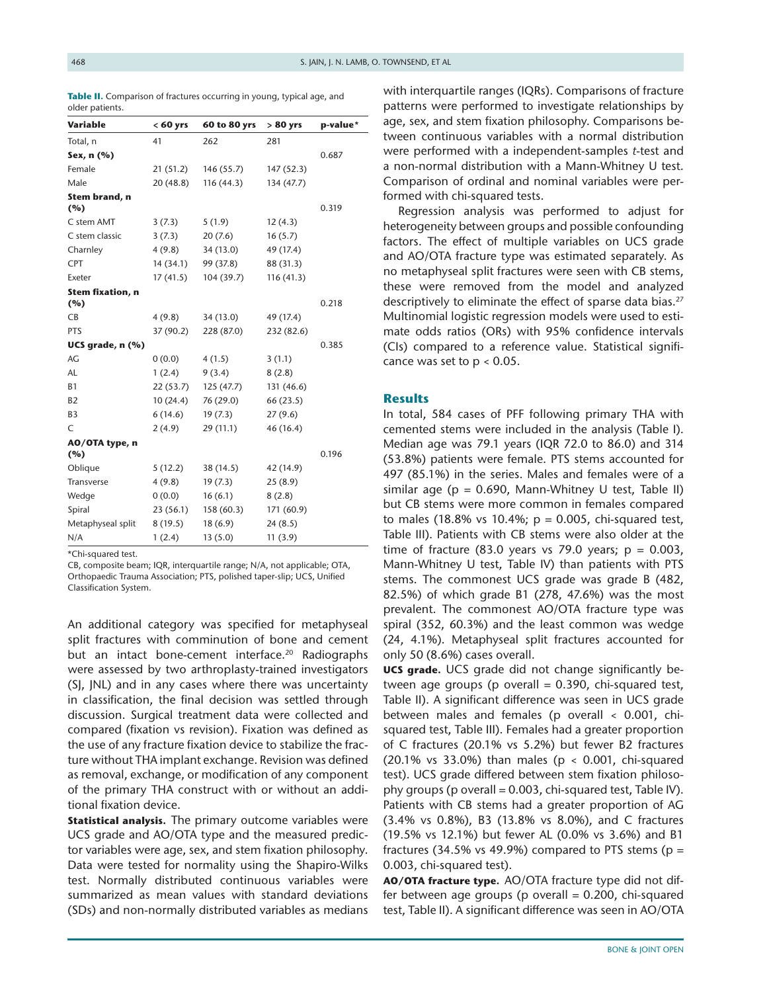| Variable                | $< 60$ yrs | 60 to 80 yrs | $> 80$ yrs | p-value* |
|-------------------------|------------|--------------|------------|----------|
| Total, n                | 41         | 262          | 281        |          |
| Sex, n (%)              |            |              |            | 0.687    |
| Female                  | 21(51.2)   | 146 (55.7)   | 147 (52.3) |          |
| Male                    | 20(48.8)   | 116(44.3)    | 134 (47.7) |          |
| Stem brand, n<br>(%)    |            |              |            | 0.319    |
| C stem AMT              | 3(7.3)     | 5(1.9)       | 12(4.3)    |          |
| C stem classic          | 3(7.3)     | 20(7.6)      | 16(5.7)    |          |
| Charnley                | 4(9.8)     | 34 (13.0)    | 49 (17.4)  |          |
| <b>CPT</b>              | 14 (34.1)  | 99 (37.8)    | 88 (31.3)  |          |
| Exeter                  | 17(41.5)   | 104 (39.7)   | 116(41.3)  |          |
| Stem fixation, n<br>(%) |            |              |            | 0.218    |
| CB                      | 4(9.8)     | 34 (13.0)    | 49 (17.4)  |          |
| <b>PTS</b>              | 37 (90.2)  | 228 (87.0)   | 232 (82.6) |          |
| UCS grade, $n$ $(\%)$   |            |              |            | 0.385    |
| AG                      | 0(0.0)     | 4(1.5)       | 3(1.1)     |          |
| AL                      | 1(2.4)     | 9(3.4)       | 8(2.8)     |          |
| <b>B1</b>               | 22(53.7)   | 125(47.7)    | 131 (46.6) |          |
| B <sub>2</sub>          | 10(24.4)   | 76 (29.0)    | 66 (23.5)  |          |
| B <sub>3</sub>          | 6(14.6)    | 19(7.3)      | 27(9.6)    |          |
| C                       | 2(4.9)     | 29 (11.1)    | 46 (16.4)  |          |
| AO/OTA type, n<br>(%)   |            |              |            | 0.196    |
| Oblique                 | 5(12.2)    | 38 (14.5)    | 42 (14.9)  |          |
| <b>Transverse</b>       | 4(9.8)     | 19(7.3)      | 25(8.9)    |          |
| Wedge                   | 0(0.0)     | 16(6.1)      | 8(2.8)     |          |
| Spiral                  | 23 (56.1)  | 158 (60.3)   | 171 (60.9) |          |
| Metaphyseal split       | 8(19.5)    | 18(6.9)      | 24(8.5)    |          |
| N/A                     | 1(2.4)     | 13(5.0)      | 11(3.9)    |          |
|                         |            |              |            |          |

<span id="page-2-0"></span>Table II. Comparison of fractures occurring in young, typical age, and older patients.

\*Chi-squared test.

CB, composite beam; IQR, interquartile range; N/A, not applicable; OTA, Orthopaedic Trauma Association; PTS, polished taper-slip; UCS, Unified Classification System.

An additional category was specified for metaphyseal split fractures with comminution of bone and cement but an intact bone-cement interface.<sup>[20](#page-8-7)</sup> Radiographs were assessed by two arthroplasty-trained investigators (SJ, JNL) and in any cases where there was uncertainty in classification, the final decision was settled through discussion. Surgical treatment data were collected and compared (fixation vs revision). Fixation was defined as the use of any fracture fixation device to stabilize the fracture without THA implant exchange. Revision was defined as removal, exchange, or modification of any component of the primary THA construct with or without an additional fixation device.

**Statistical analysis.** The primary outcome variables were UCS grade and AO/OTA type and the measured predictor variables were age, sex, and stem fixation philosophy. Data were tested for normality using the Shapiro-Wilks test. Normally distributed continuous variables were summarized as mean values with standard deviations (SDs) and non-normally distributed variables as medians with interquartile ranges (IQRs). Comparisons of fracture patterns were performed to investigate relationships by age, sex, and stem fixation philosophy. Comparisons between continuous variables with a normal distribution were performed with a independent-samples *t*-test and a non-normal distribution with a Mann-Whitney U test. Comparison of ordinal and nominal variables were performed with chi-squared tests.

Regression analysis was performed to adjust for heterogeneity between groups and possible confounding factors. The effect of multiple variables on UCS grade and AO/OTA fracture type was estimated separately. As no metaphyseal split fractures were seen with CB stems, these were removed from the model and analyzed descriptively to eliminate the effect of sparse data bias.<sup>[27](#page-8-11)</sup> Multinomial logistic regression models were used to estimate odds ratios (ORs) with 95% confidence intervals (CIs) compared to a reference value. Statistical significance was set to  $p < 0.05$ .

# **Results**

In total, 584 cases of PFF following primary THA with cemented stems were included in the analysis ([Table I\)](#page-1-0). Median age was 79.1 years (IQR 72.0 to 86.0) and 314 (53.8%) patients were female. PTS stems accounted for 497 (85.1%) in the series. Males and females were of a similar age ( $p = 0.690$ , Mann-Whitney U test, Table II) but CB stems were more common in females compared to males (18.8% vs 10.4%;  $p = 0.005$ , chi-squared test, [Table III](#page-3-0)). Patients with CB stems were also older at the time of fracture (83.0 years vs 79.0 years;  $p = 0.003$ , Mann-Whitney U test, [Table IV\)](#page-3-1) than patients with PTS stems. The commonest UCS grade was grade B (482, 82.5%) of which grade B1 (278, 47.6%) was the most prevalent. The commonest AO/OTA fracture type was spiral (352, 60.3%) and the least common was wedge (24, 4.1%). Metaphyseal split fractures accounted for only 50 (8.6%) cases overall.

**UCS grade.** UCS grade did not change significantly between age groups (p overall  $= 0.390$ , chi-squared test, [Table II\)](#page-2-0). A significant difference was seen in UCS grade between males and females (p overall < 0.001, chisquared test, [Table III\)](#page-3-0). Females had a greater proportion of C fractures (20.1% vs 5.2%) but fewer B2 fractures (20.1% vs 33.0%) than males (p < 0.001, chi-squared test). UCS grade differed between stem fixation philosophy groups (p overall  $= 0.003$ , chi-squared test, [Table IV\)](#page-3-1). Patients with CB stems had a greater proportion of AG (3.4% vs 0.8%), B3 (13.8% vs 8.0%), and C fractures (19.5% vs 12.1%) but fewer AL (0.0% vs 3.6%) and B1 fractures (34.5% vs 49.9%) compared to PTS stems ( $p =$ 0.003, chi-squared test).

**AO/OTA fracture type.** AO/OTA fracture type did not differ between age groups (p overall  $= 0.200$ , chi-squared test, [Table II\)](#page-2-0). A significant difference was seen in AO/OTA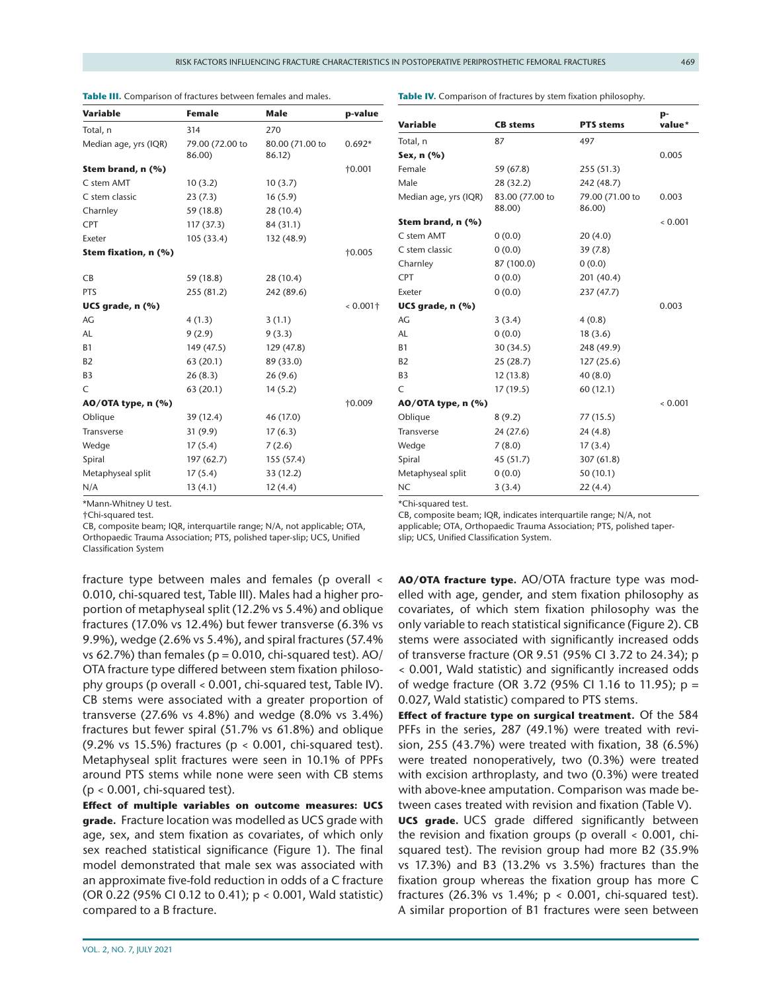<span id="page-3-0"></span>**Table III.** Comparison of fractures between females and males.

<span id="page-3-1"></span>**Table IV.** Comparison of fractures by stem fixation philosophy.

| <b>Variable</b>       | <b>Female</b>             | Male                      | p-value         |
|-----------------------|---------------------------|---------------------------|-----------------|
| Total, n              | 314                       | 270                       |                 |
| Median age, yrs (IQR) | 79.00 (72.00 to<br>86.00) | 80.00 (71.00 to<br>86.12) | $0.692*$        |
| Stem brand, n (%)     |                           |                           | $\dagger$ 0.001 |
| C stem AMT            | 10(3.2)                   | 10(3.7)                   |                 |
| C stem classic        | 23(7.3)                   | 16(5.9)                   |                 |
| Charnley              | 59 (18.8)                 | 28 (10.4)                 |                 |
| <b>CPT</b>            | 117 (37.3)                | 84 (31.1)                 |                 |
| Exeter                | 105(33.4)                 | 132 (48.9)                |                 |
| Stem fixation, n (%)  |                           |                           | $\dagger 0.005$ |
| <b>CB</b>             | 59 (18.8)                 | 28 (10.4)                 |                 |
| PTS                   | 255 (81.2)                | 242 (89.6)                |                 |
| UCS grade, n (%)      |                           |                           | $0.001$ †       |
| AG                    | 4(1.3)                    | 3(1.1)                    |                 |
| <b>AL</b>             | 9(2.9)                    | 9(3.3)                    |                 |
| <b>B1</b>             | 149 (47.5)                | 129 (47.8)                |                 |
| <b>B2</b>             | 63 (20.1)                 | 89 (33.0)                 |                 |
| B <sub>3</sub>        | 26(8.3)                   | 26(9.6)                   |                 |
| C                     | 63 (20.1)                 | 14(5.2)                   |                 |
| AO/OTA type, n (%)    |                           |                           | †0.009          |
| Oblique               | 39 (12.4)                 | 46 (17.0)                 |                 |
| <b>Transverse</b>     | 31(9.9)                   | 17(6.3)                   |                 |
| Wedge                 | 17(5.4)                   | 7(2.6)                    |                 |
| Spiral                | 197 (62.7)                | 155 (57.4)                |                 |
| Metaphyseal split     | 17(5.4)                   | 33 (12.2)                 |                 |
| N/A                   | 13(4.1)                   | 12(4.4)                   |                 |

\*Mann-Whitney U test.

†Chi-squared test.

CB, composite beam; IQR, interquartile range; N/A, not applicable; OTA, Orthopaedic Trauma Association; PTS, polished taper-slip; UCS, Unified Classification System

fracture type between males and females (p overall < 0.010, chi-squared test, [Table III\)](#page-3-0). Males had a higher proportion of metaphyseal split (12.2% vs 5.4%) and oblique fractures (17.0% vs 12.4%) but fewer transverse (6.3% vs 9.9%), wedge (2.6% vs 5.4%), and spiral fractures (57.4% vs 62.7%) than females ( $p = 0.010$ , chi-squared test). AO/ OTA fracture type differed between stem fixation philosophy groups (p overall < 0.001, chi-squared test, [Table IV\)](#page-3-1). CB stems were associated with a greater proportion of transverse (27.6% vs 4.8%) and wedge (8.0% vs 3.4%) fractures but fewer spiral (51.7% vs 61.8%) and oblique (9.2% vs 15.5%) fractures (p < 0.001, chi-squared test). Metaphyseal split fractures were seen in 10.1% of PPFs around PTS stems while none were seen with CB stems  $(p < 0.001$ , chi-squared test).

**Effect of multiple variables on outcome measures: UCS grade.** Fracture location was modelled as UCS grade with age, sex, and stem fixation as covariates, of which only sex reached statistical significance ([Figure 1\)](#page-4-0). The final model demonstrated that male sex was associated with an approximate five-fold reduction in odds of a C fracture (OR 0.22 (95% CI 0.12 to 0.41); p < 0.001, Wald statistic) compared to a B fracture.

| <b>Variable</b>       | <b>CB</b> stems           | <b>PTS</b> stems          | p-<br>value* |
|-----------------------|---------------------------|---------------------------|--------------|
| Total, n              | 87                        | 497                       |              |
| Sex, n (%)            |                           |                           | 0.005        |
| Female                | 59 (67.8)                 | 255 (51.3)                |              |
| Male                  | 28 (32.2)                 | 242 (48.7)                |              |
| Median age, yrs (IQR) | 83.00 (77.00 to<br>88.00) | 79.00 (71.00 to<br>86.00) | 0.003        |
| Stem brand, n (%)     |                           |                           | 0.001        |
| C stem AMT            | 0(0.0)                    | 20(4.0)                   |              |
| C stem classic        | 0(0.0)                    | 39(7.8)                   |              |
| Charnley              | 87 (100.0)                | 0(0.0)                    |              |
| <b>CPT</b>            | 0(0.0)                    | 201 (40.4)                |              |
| Exeter                | 0(0.0)                    | 237 (47.7)                |              |
| UCS grade, n (%)      |                           |                           | 0.003        |
| AG                    | 3(3.4)                    | 4(0.8)                    |              |
| AL                    | 0(0.0)                    | 18(3.6)                   |              |
| <b>B1</b>             | 30(34.5)                  | 248 (49.9)                |              |
| <b>B2</b>             | 25(28.7)                  | 127(25.6)                 |              |
| B <sub>3</sub>        | 12(13.8)                  | 40(8.0)                   |              |
| C                     | 17(19.5)                  | 60 (12.1)                 |              |
| AO/OTA type, n (%)    |                           |                           | 0.001        |
| Oblique               | 8(9.2)                    | 77 (15.5)                 |              |
| <b>Transverse</b>     | 24 (27.6)                 | 24(4.8)                   |              |
| Wedge                 | 7(8.0)                    | 17(3.4)                   |              |
| Spiral                | 45 (51.7)                 | 307 (61.8)                |              |
| Metaphyseal split     | 0(0.0)                    | 50 (10.1)                 |              |
| NC                    | 3(3.4)                    | 22(4.4)                   |              |

\*Chi-squared test.

CB, composite beam; IQR, indicates interquartile range; N/A, not applicable; OTA, Orthopaedic Trauma Association; PTS, polished taperslip; UCS, Unified Classification System.

**AO/OTA fracture type.** AO/OTA fracture type was modelled with age, gender, and stem fixation philosophy as covariates, of which stem fixation philosophy was the only variable to reach statistical significance [\(Figure 2](#page-5-0)). CB stems were associated with significantly increased odds of transverse fracture (OR 9.51 (95% CI 3.72 to 24.34); p < 0.001, Wald statistic) and significantly increased odds of wedge fracture (OR 3.72 (95% CI 1.16 to 11.95); p = 0.027, Wald statistic) compared to PTS stems.

**Effect of fracture type on surgical treatment.** Of the 584 PFFs in the series, 287 (49.1%) were treated with revision, 255 (43.7%) were treated with fixation, 38 (6.5%) were treated nonoperatively, two (0.3%) were treated with excision arthroplasty, and two (0.3%) were treated with above-knee amputation. Comparison was made between cases treated with revision and fixation [\(Table V\)](#page-6-0).

**UCS grade.** UCS grade differed significantly between the revision and fixation groups (p overall < 0.001, chisquared test). The revision group had more B2 (35.9% vs 17.3%) and B3 (13.2% vs 3.5%) fractures than the fixation group whereas the fixation group has more C fractures (26.3% vs 1.4%;  $p < 0.001$ , chi-squared test). A similar proportion of B1 fractures were seen between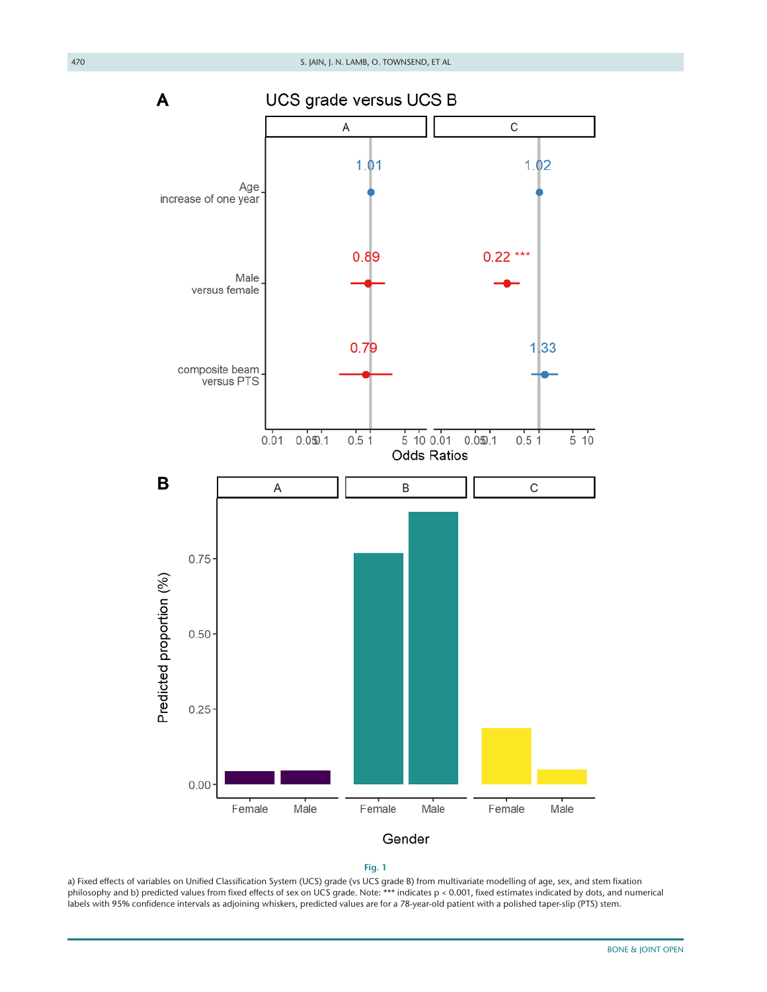$\mathsf{C}$ 

UCS grade versus UCS B

A  $1.01$ Age



<span id="page-4-0"></span>

a) Fixed effects of variables on Unified Classification System (UCS) grade (vs UCS grade B) from multivariate modelling of age, sex, and stem fixation philosophy and b) predicted values from fixed effects of sex on UCS grade. Note: \*\*\* indicates p < 0.001, fixed estimates indicated by dots, and numerical labels with 95% confidence intervals as adjoining whiskers, predicted values are for a 78-year-old patient with a polished taper-slip (PTS) stem.

A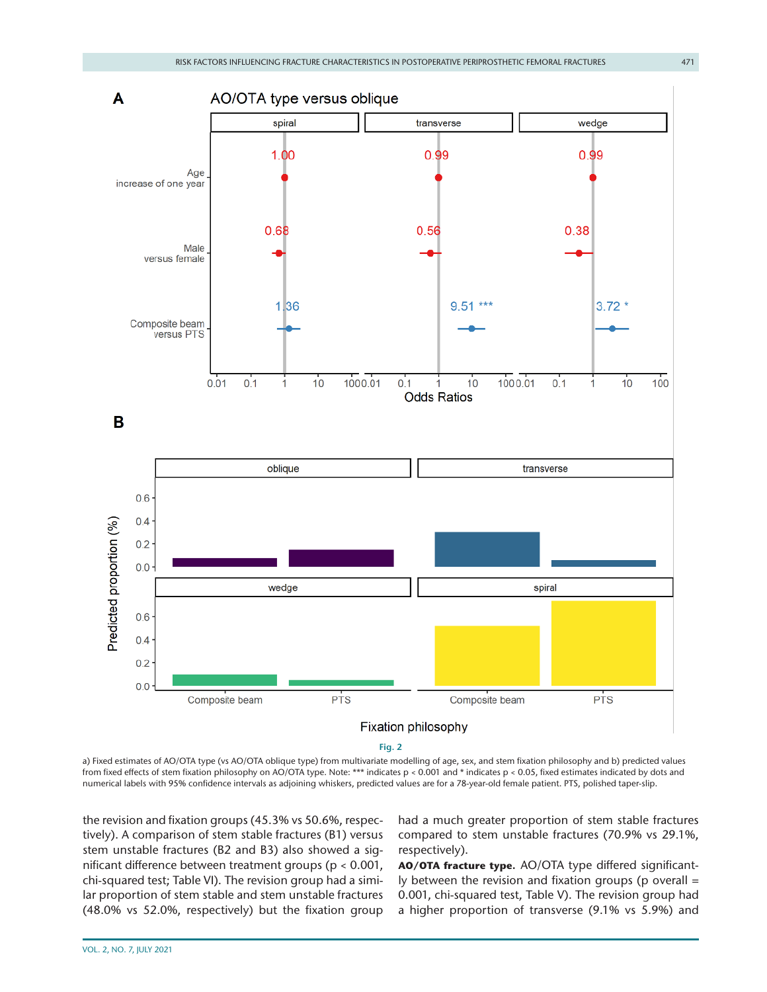

**Fig. 2**

<span id="page-5-0"></span>a) Fixed estimates of AO/OTA type (vs AO/OTA oblique type) from multivariate modelling of age, sex, and stem fixation philosophy and b) predicted values from fixed effects of stem fixation philosophy on AO/OTA type. Note: \*\*\* indicates p < 0.001 and \* indicates p < 0.05, fixed estimates indicated by dots and numerical labels with 95% confidence intervals as adjoining whiskers, predicted values are for a 78-year-old female patient. PTS, polished taper-slip.

the revision and fixation groups (45.3% vs 50.6%, respectively). A comparison of stem stable fractures (B1) versus stem unstable fractures (B2 and B3) also showed a significant difference between treatment groups (p < 0.001, chi-squared test; [Table VI\)](#page-6-1). The revision group had a similar proportion of stem stable and stem unstable fractures (48.0% vs 52.0%, respectively) but the fixation group had a much greater proportion of stem stable fractures compared to stem unstable fractures (70.9% vs 29.1%, respectively).

**AO/OTA fracture type.** AO/OTA type differed significantly between the revision and fixation groups (p overall = 0.001, chi-squared test, [Table V\)](#page-6-0). The revision group had a higher proportion of transverse (9.1% vs 5.9%) and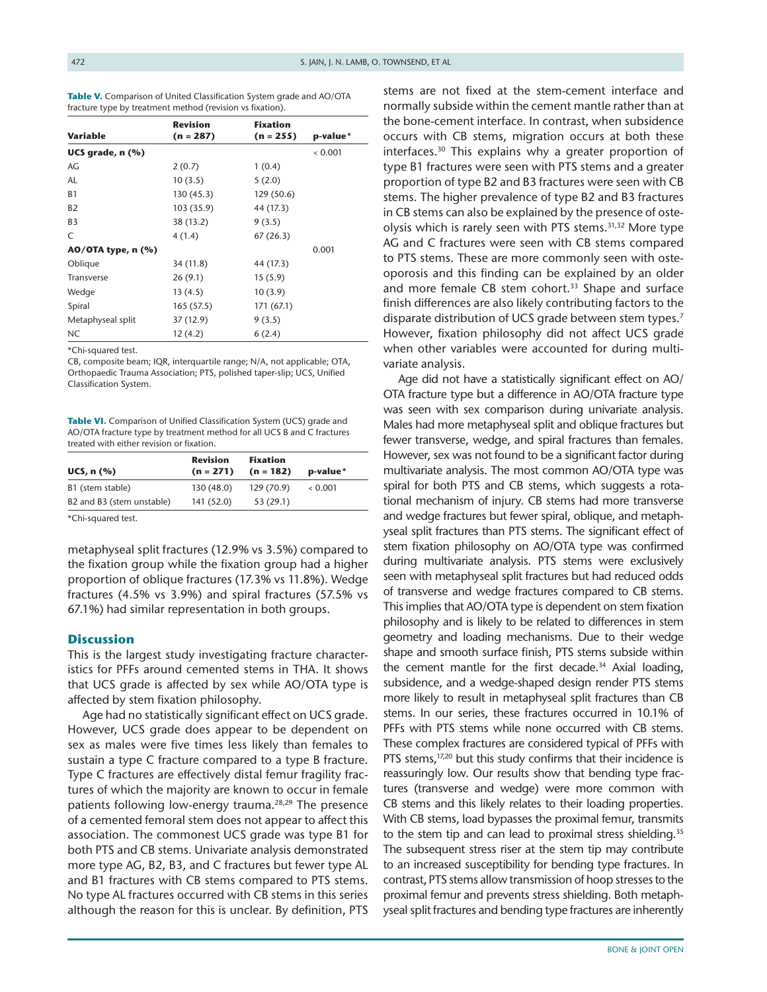|                          | <b>Revision</b> | <b>Fixation</b> |          |
|--------------------------|-----------------|-----------------|----------|
| <b>Variable</b>          | $(n = 287)$     | $(n = 255)$     | p-value* |
| UCS grade, n (%)         |                 |                 | 0.001    |
| AG                       | 2(0.7)          | 1(0.4)          |          |
| AL                       | 10(3.5)         | 5(2.0)          |          |
| <b>B1</b>                | 130 (45.3)      | 129 (50.6)      |          |
| <b>B2</b>                | 103 (35.9)      | 44 (17.3)       |          |
| B <sub>3</sub>           | 38 (13.2)       | 9(3.5)          |          |
| C                        | 4(1.4)          | 67(26.3)        |          |
| $AO/OTA$ type, n $(\% )$ |                 |                 | 0.001    |
| Oblique                  | 34 (11.8)       | 44 (17.3)       |          |
| <b>Transverse</b>        | 26(9.1)         | 15(5.9)         |          |
| Wedge                    | 13 (4.5)        | 10(3.9)         |          |
| Spiral                   | 165(57.5)       | 171(67.1)       |          |
| Metaphyseal split        | 37 (12.9)       | 9(3.5)          |          |
| <b>NC</b>                | 12(4.2)         | 6(2.4)          |          |

<span id="page-6-0"></span>Table V. Comparison of United Classification System grade and AO/OTA fracture type by treatment method (revision vs fixation).

\*Chi-squared test.

CB, composite beam; IQR, interquartile range; N/A, not applicable; OTA, Orthopaedic Trauma Association; PTS, polished taper-slip; UCS, Unified Classification System.

<span id="page-6-1"></span>**Table VI.** Comparison of Unified Classification System (UCS) grade and AO/OTA fracture type by treatment method for all UCS B and C fractures treated with either revision or fixation.

| <b>Revision</b><br>$(n = 271)$ | <b>Fixation</b><br>$(n = 182)$ | p-value* |
|--------------------------------|--------------------------------|----------|
| 130 (48.0)                     | 129 (70.9)                     | 0.001    |
| 141 (52.0)                     | 53(29.1)                       |          |
|                                |                                |          |

\*Chi-squared test.

metaphyseal split fractures (12.9% vs 3.5%) compared to the fixation group while the fixation group had a higher proportion of oblique fractures (17.3% vs 11.8%). Wedge fractures (4.5% vs 3.9%) and spiral fractures (57.5% vs 67.1%) had similar representation in both groups.

## **Discussion**

This is the largest study investigating fracture characteristics for PFFs around cemented stems in THA. It shows that UCS grade is affected by sex while AO/OTA type is affected by stem fixation philosophy.

Age had no statistically significant effect on UCS grade. However, UCS grade does appear to be dependent on sex as males were five times less likely than females to sustain a type C fracture compared to a type B fracture. Type C fractures are effectively distal femur fragility fractures of which the majority are known to occur in female patients following low-energy trauma.<sup>28,29</sup> The presence of a cemented femoral stem does not appear to affect this association. The commonest UCS grade was type B1 for both PTS and CB stems. Univariate analysis demonstrated more type AG, B2, B3, and C fractures but fewer type AL and B1 fractures with CB stems compared to PTS stems. No type AL fractures occurred with CB stems in this series although the reason for this is unclear. By definition, PTS stems are not fixed at the stem-cement interface and normally subside within the cement mantle rather than at the bone-cement interface. In contrast, when subsidence occurs with CB stems, migration occurs at both these interfaces.<sup>30</sup> This explains why a greater proportion of type B1 fractures were seen with PTS stems and a greater proportion of type B2 and B3 fractures were seen with CB stems. The higher prevalence of type B2 and B3 fractures in CB stems can also be explained by the presence of osteolysis which is rarely seen with PTS stems.<sup>31,32</sup> More type AG and C fractures were seen with CB stems compared to PTS stems. These are more commonly seen with osteoporosis and this finding can be explained by an older and more female CB stem cohort.<sup>33</sup> Shape and surface finish differences are also likely contributing factors to the disparate distribution of UCS grade between stem types.<sup>[7](#page-8-2)</sup> However, fixation philosophy did not affect UCS grade when other variables were accounted for during multivariate analysis.

Age did not have a statistically significant effect on AO/ OTA fracture type but a difference in AO/OTA fracture type was seen with sex comparison during univariate analysis. Males had more metaphyseal split and oblique fractures but fewer transverse, wedge, and spiral fractures than females. However, sex was not found to be a significant factor during multivariate analysis. The most common AO/OTA type was spiral for both PTS and CB stems, which suggests a rotational mechanism of injury. CB stems had more transverse and wedge fractures but fewer spiral, oblique, and metaphyseal split fractures than PTS stems. The significant effect of stem fixation philosophy on AO/OTA type was confirmed during multivariate analysis. PTS stems were exclusively seen with metaphyseal split fractures but had reduced odds of transverse and wedge fractures compared to CB stems. This implies that AO/OTA type is dependent on stem fixation philosophy and is likely to be related to differences in stem geometry and loading mechanisms. Due to their wedge shape and smooth surface finish, PTS stems subside within the cement mantle for the first decade.<sup>34</sup> Axial loading, subsidence, and a wedge-shaped design render PTS stems more likely to result in metaphyseal split fractures than CB stems. In our series, these fractures occurred in 10.1% of PFFs with PTS stems while none occurred with CB stems. These complex fractures are considered typical of PFFs with PTS stems,<sup>[17,20](#page-8-4)</sup> but this study confirms that their incidence is reassuringly low. Our results show that bending type fractures (transverse and wedge) were more common with CB stems and this likely relates to their loading properties. With CB stems, load bypasses the proximal femur, transmits to the stem tip and can lead to proximal stress shielding.<sup>35</sup> The subsequent stress riser at the stem tip may contribute to an increased susceptibility for bending type fractures. In contrast, PTS stems allow transmission of hoop stresses to the proximal femur and prevents stress shielding. Both metaphyseal split fractures and bending type fractures are inherently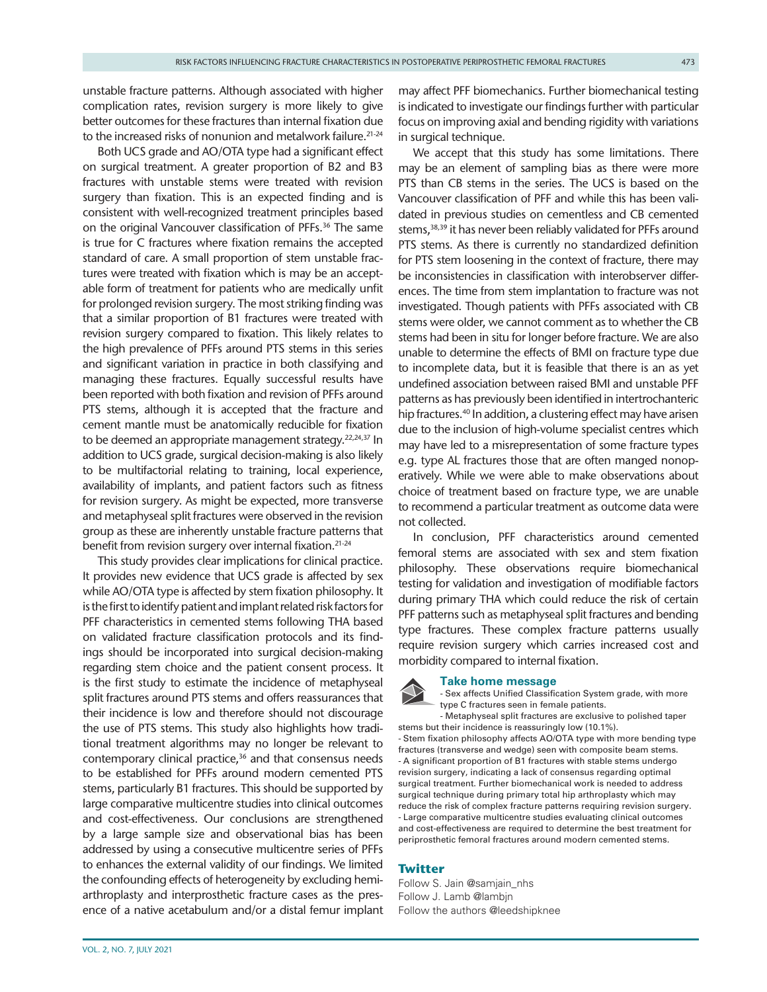unstable fracture patterns. Although associated with higher complication rates, revision surgery is more likely to give better outcomes for these fractures than internal fixation due to the increased risks of nonunion and metalwork failure.<sup>[21-24](#page-8-8)</sup>

Both UCS grade and AO/OTA type had a significant effect on surgical treatment. A greater proportion of B2 and B3 fractures with unstable stems were treated with revision surgery than fixation. This is an expected finding and is consistent with well-recognized treatment principles based on the original Vancouver classification of PFFs.<sup>36</sup> The same is true for C fractures where fixation remains the accepted standard of care. A small proportion of stem unstable fractures were treated with fixation which is may be an acceptable form of treatment for patients who are medically unfit for prolonged revision surgery. The most striking finding was that a similar proportion of B1 fractures were treated with revision surgery compared to fixation. This likely relates to the high prevalence of PFFs around PTS stems in this series and significant variation in practice in both classifying and managing these fractures. Equally successful results have been reported with both fixation and revision of PFFs around PTS stems, although it is accepted that the fracture and cement mantle must be anatomically reducible for fixation to be deemed an appropriate management strategy.<sup>22,24,37</sup> In addition to UCS grade, surgical decision-making is also likely to be multifactorial relating to training, local experience, availability of implants, and patient factors such as fitness for revision surgery. As might be expected, more transverse and metaphyseal split fractures were observed in the revision group as these are inherently unstable fracture patterns that benefit from revision surgery over internal fixation[.21-24](#page-8-8)

This study provides clear implications for clinical practice. It provides new evidence that UCS grade is affected by sex while AO/OTA type is affected by stem fixation philosophy. It is the first to identify patient and implant related risk factors for PFF characteristics in cemented stems following THA based on validated fracture classification protocols and its findings should be incorporated into surgical decision-making regarding stem choice and the patient consent process. It is the first study to estimate the incidence of metaphyseal split fractures around PTS stems and offers reassurances that their incidence is low and therefore should not discourage the use of PTS stems. This study also highlights how traditional treatment algorithms may no longer be relevant to contemporary clinical practice,<sup>36</sup> and that consensus needs to be established for PFFs around modern cemented PTS stems, particularly B1 fractures. This should be supported by large comparative multicentre studies into clinical outcomes and cost-effectiveness. Our conclusions are strengthened by a large sample size and observational bias has been addressed by using a consecutive multicentre series of PFFs to enhances the external validity of our findings. We limited the confounding effects of heterogeneity by excluding hemiarthroplasty and interprosthetic fracture cases as the presence of a native acetabulum and/or a distal femur implant

may affect PFF biomechanics. Further biomechanical testing is indicated to investigate our findings further with particular focus on improving axial and bending rigidity with variations in surgical technique.

We accept that this study has some limitations. There may be an element of sampling bias as there were more PTS than CB stems in the series. The UCS is based on the Vancouver classification of PFF and while this has been validated in previous studies on cementless and CB cemented stems,<sup>[38,39](#page-8-19)</sup> it has never been reliably validated for PFFs around PTS stems. As there is currently no standardized definition for PTS stem loosening in the context of fracture, there may be inconsistencies in classification with interobserver differences. The time from stem implantation to fracture was not investigated. Though patients with PFFs associated with CB stems were older, we cannot comment as to whether the CB stems had been in situ for longer before fracture. We are also unable to determine the effects of BMI on fracture type due to incomplete data, but it is feasible that there is an as yet undefined association between raised BMI and unstable PFF patterns as has previously been identified in intertrochanteric hip fractures.<sup>40</sup> In addition, a clustering effect may have arisen due to the inclusion of high-volume specialist centres which may have led to a misrepresentation of some fracture types e.g. type AL fractures those that are often manged nonoperatively. While we were able to make observations about choice of treatment based on fracture type, we are unable to recommend a particular treatment as outcome data were not collected.

In conclusion, PFF characteristics around cemented femoral stems are associated with sex and stem fixation philosophy. These observations require biomechanical testing for validation and investigation of modifiable factors during primary THA which could reduce the risk of certain PFF patterns such as metaphyseal split fractures and bending type fractures. These complex fracture patterns usually require revision surgery which carries increased cost and morbidity compared to internal fixation.

## **Take home message**

- Sex affects Unified Classification System grade, with more type C fractures seen in female patients.

-- Metaphyseal split fractures are exclusive to polished taper stems but their incidence is reassuringly low (10.1%).

- Stem fixation philosophy affects AO/OTA type with more bending type fractures (transverse and wedge) seen with composite beam stems. -- A significant proportion of B1 fractures with stable stems undergo revision surgery, indicating a lack of consensus regarding optimal surgical treatment. Further biomechanical work is needed to address surgical technique during primary total hip arthroplasty which may reduce the risk of complex fracture patterns requiring revision surgery. - Large comparative multicentre studies evaluating clinical outcomes and cost-effectiveness are required to determine the best treatment for periprosthetic femoral fractures around modern cemented stems.

#### **Twitter**

Follow S. Jain @samjain\_nhs Follow J. Lamb @lambjn Follow the authors [@leedshipknee](https://twitter.com/@leedshipknee)

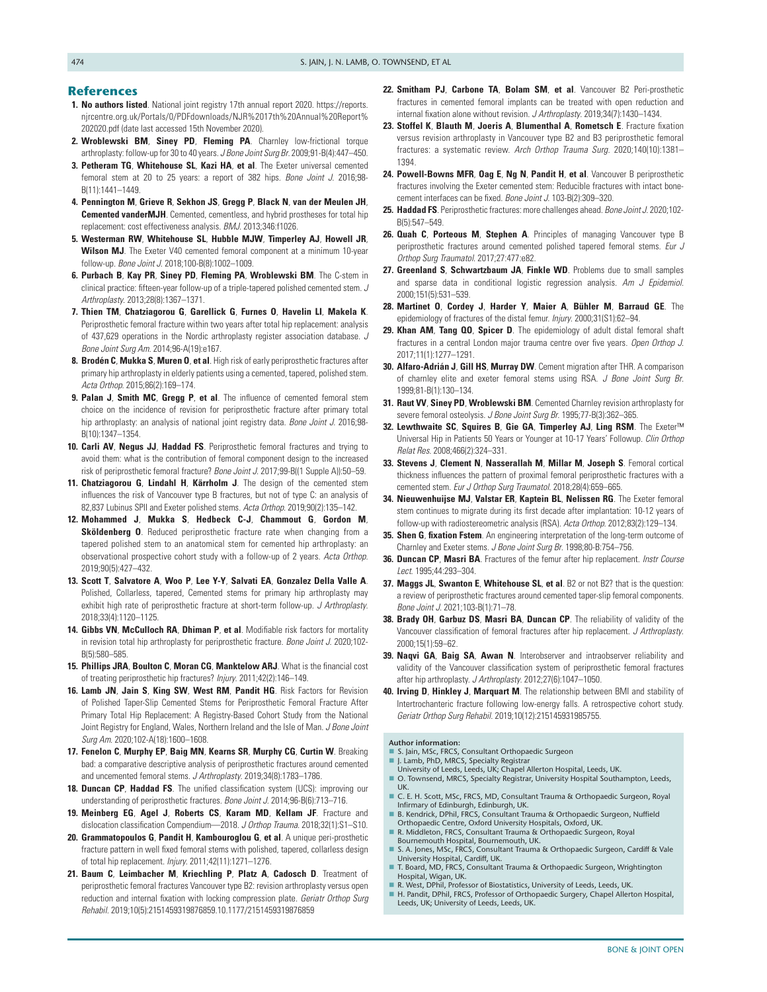#### **References**

- <span id="page-8-0"></span>**1. No authors listed**. National joint registry 17th annual report 2020. [https://reports.](https://reports.njrcentre.org.uk/Portals/0/PDFdownloads/NJR%2017th%20Annual%20Report%202020.pdf) [njrcentre.org.uk/Portals/0/PDFdownloads/NJR%2017th%20Annual%20Report%](https://reports.njrcentre.org.uk/Portals/0/PDFdownloads/NJR%2017th%20Annual%20Report%202020.pdf) [202020.pdf](https://reports.njrcentre.org.uk/Portals/0/PDFdownloads/NJR%2017th%20Annual%20Report%202020.pdf) (date last accessed 15th November 2020).
- **2. Wroblewski BM**, **Siney PD**, **Fleming PA**. Charnley low-frictional torque arthroplasty: follow-up for 30 to 40 years. *J Bone Joint Surg Br*. 2009;91-B(4):447–450.
- **3. Petheram TG**, **Whitehouse SL**, **Kazi HA**, **et al**. The Exeter universal cemented femoral stem at 20 to 25 years: a report of 382 hips. *Bone Joint J*. 2016;98- B(11):1441–1449.
- **4. Pennington M**, **Grieve R**, **Sekhon JS**, **Gregg P**, **Black N**, **van der Meulen JH**, **Cemented vanderMJH**. Cemented, cementless, and hybrid prostheses for total hip replacement: cost effectiveness analysis. *BMJ*. 2013;346:f1026.
- <span id="page-8-1"></span>**5. Westerman RW**, **Whitehouse SL**, **Hubble MJW**, **Timperley AJ**, **Howell JR**, **Wilson MJ**. The Exeter V40 cemented femoral component at a minimum 10-year follow-up. *Bone Joint J*. 2018;100-B(8):1002–1009.
- **6. Purbach B**, **Kay PR**, **Siney PD**, **Fleming PA**, **Wroblewski BM**. The C-stem in clinical practice: fifteen-year follow-up of a triple-tapered polished cemented stem. *J Arthroplasty*. 2013;28(8):1367–1371.
- <span id="page-8-2"></span>**7. Thien TM**, **Chatziagorou G**, **Garellick G**, **Furnes O**, **Havelin LI**, **Makela K**. Periprosthetic femoral fracture within two years after total hip replacement: analysis of 437,629 operations in the Nordic arthroplasty register association database. *J Bone Joint Surg Am*. 2014;96-A(19):e167.
- **8. Brodén C**, **Mukka S**, **Muren O**, **et al**. High risk of early periprosthetic fractures after primary hip arthroplasty in elderly patients using a cemented, tapered, polished stem. *Acta Orthop*. 2015;86(2):169–174.
- **9. Palan J**, **Smith MC**, **Gregg P**, **et al**. The influence of cemented femoral stem choice on the incidence of revision for periprosthetic fracture after primary total hip arthroplasty: an analysis of national joint registry data. *Bone Joint J*. 2016;98- B(10):1347–1354.
- **10. Carli AV**, **Negus JJ**, **Haddad FS**. Periprosthetic femoral fractures and trying to avoid them: what is the contribution of femoral component design to the increased risk of periprosthetic femoral fracture? *Bone Joint J*. 2017;99-B((1 Supple A)):50–59.
- **11. Chatziagorou G**, **Lindahl H**, **Kärrholm J**. The design of the cemented stem influences the risk of Vancouver type B fractures, but not of type C: an analysis of 82,837 Lubinus SPII and Exeter polished stems. *Acta Orthop*. 2019;90(2):135–142.
- **12. Mohammed J**, **Mukka S**, **Hedbeck C-J**, **Chammout G**, **Gordon M**, **Sköldenberg O**. Reduced periprosthetic fracture rate when changing from a tapered polished stem to an anatomical stem for cemented hip arthroplasty: an observational prospective cohort study with a follow-up of 2 years. *Acta Orthop*. 2019;90(5):427–432.
- **13. Scott T**, **Salvatore A**, **Woo P**, **Lee Y-Y**, **Salvati EA**, **Gonzalez Della Valle A**. Polished, Collarless, tapered, Cemented stems for primary hip arthroplasty may exhibit high rate of periprosthetic fracture at short-term follow-up. *J Arthroplasty*. 2018;33(4):1120–1125.
- <span id="page-8-3"></span>**14. Gibbs VN**, **McCulloch RA**, **Dhiman P**, **et al**. Modifiable risk factors for mortality in revision total hip arthroplasty for periprosthetic fracture. *Bone Joint J*. 2020;102- B(5):580–585.
- **15. Phillips JRA**, **Boulton C**, **Moran CG**, **Manktelow ARJ**. What is the financial cost of treating periprosthetic hip fractures? *Injury*. 2011;42(2):146–149.
- **16. Lamb JN**, **Jain S**, **King SW**, **West RM**, **Pandit HG**. Risk Factors for Revision of Polished Taper-Slip Cemented Stems for Periprosthetic Femoral Fracture After Primary Total Hip Replacement: A Registry-Based Cohort Study from the National Joint Registry for England, Wales, Northern Ireland and the Isle of Man. *J Bone Joint Surg Am*. 2020;102-A(18):1600–1608.
- <span id="page-8-4"></span>**17. Fenelon C**, **Murphy EP**, **Baig MN**, **Kearns SR**, **Murphy CG**, **Curtin W**. Breaking bad: a comparative descriptive analysis of periprosthetic fractures around cemented and uncemented femoral stems. *J Arthroplasty*. 2019;34(8):1783–1786.
- <span id="page-8-5"></span>**18. Duncan CP**, **Haddad FS**. The unified classification system (UCS): improving our understanding of periprosthetic fractures. *Bone Joint J*. 2014;96-B(6):713–716.
- <span id="page-8-6"></span>**19. Meinberg EG**, **Agel J**, **Roberts CS**, **Karam MD**, **Kellam JF**. Fracture and dislocation classification Compendium—2018. *J Orthop Trauma*. 2018;32(1):S1–S10.
- <span id="page-8-7"></span>**20. Grammatopoulos G**, **Pandit H**, **Kambouroglou G**, **et al**. A unique peri-prosthetic fracture pattern in well fixed femoral stems with polished, tapered, collarless design of total hip replacement. *Injury*. 2011;42(11):1271–1276.
- <span id="page-8-8"></span>**21. Baum C**, **Leimbacher M**, **Kriechling P**, **Platz A**, **Cadosch D**. Treatment of periprosthetic femoral fractures Vancouver type B2: revision arthroplasty versus open reduction and internal fixation with locking compression plate. *Geriatr Orthop Surg Rehabil*. 2019;10(5):2151459319876859.10.1177/2151459319876859
- <span id="page-8-10"></span>**22. Smitham PJ**, **Carbone TA**, **Bolam SM**, **et al**. Vancouver B2 Peri-prosthetic fractures in cemented femoral implants can be treated with open reduction and internal fixation alone without revision. *J Arthroplasty*. 2019;34(7):1430–1434.
- **23. Stoffel K**, **Blauth M**, **Joeris A**, **Blumenthal A**, **Rometsch E**. Fracture fixation versus revision arthroplasty in Vancouver type B2 and B3 periprosthetic femoral fractures: a systematic review. *Arch Orthop Trauma Surg*. 2020;140(10):1381– 1394.
- **24. Powell-Bowns MFR**, **Oag E**, **Ng N**, **Pandit H**, **et al**. Vancouver B periprosthetic fractures involving the Exeter cemented stem: Reducible fractures with intact bonecement interfaces can be fixed. *Bone Joint J*. 103-B(2):309–320.
- <span id="page-8-9"></span>**25. Haddad FS**. Periprosthetic fractures: more challenges ahead. *Bone Joint J*. 2020;102- B(5):547–549.
- **26. Quah C**, **Porteous M**, **Stephen A**. Principles of managing Vancouver type B periprosthetic fractures around cemented polished tapered femoral stems. *Eur J Orthop Surg Traumatol*. 2017;27:477:e82.
- <span id="page-8-11"></span>**27. Greenland S**, **Schwartzbaum JA**, **Finkle WD**. Problems due to small samples and sparse data in conditional logistic regression analysis. *Am J Epidemiol*. 2000;151(5):531–539.
- <span id="page-8-12"></span>**28. Martinet O**, **Cordey J**, **Harder Y**, **Maier A**, **Bühler M**, **Barraud GE**. The epidemiology of fractures of the distal femur. *Injury*. 2000;31(S1):62–94.
- **29. Khan AM**, **Tang QO**, **Spicer D**. The epidemiology of adult distal femoral shaft fractures in a central London major trauma centre over five years. *Open Orthop J*. 2017;11(1):1277–1291.
- <span id="page-8-13"></span>**30. Alfaro-Adrián J**, **Gill HS**, **Murray DW**. Cement migration after THR. A comparison of charnley elite and exeter femoral stems using RSA. *J Bone Joint Surg Br*. 1999;81-B(1):130–134.
- <span id="page-8-14"></span>**31. Raut VV**, **Siney PD**, **Wroblewski BM**. Cemented Charnley revision arthroplasty for severe femoral osteolysis. *J Bone Joint Surg Br*. 1995;77-B(3):362–365.
- **32. Lewthwaite SC**, **Squires B**, **Gie GA**, **Timperley AJ**, **Ling RSM**. The Exeter™ Universal Hip in Patients 50 Years or Younger at 10-17 Years' Followup. *Clin Orthop Relat Res*. 2008;466(2):324–331.
- <span id="page-8-15"></span>**33. Stevens J**, **Clement N**, **Nasserallah M**, **Millar M**, **Joseph S**. Femoral cortical thickness influences the pattern of proximal femoral periprosthetic fractures with a cemented stem. *Eur J Orthop Surg Traumatol*. 2018;28(4):659–665.
- <span id="page-8-16"></span>**34. Nieuwenhuijse MJ**, **Valstar ER**, **Kaptein BL**, **Nelissen RG**. The Exeter femoral stem continues to migrate during its first decade after implantation: 10-12 years of follow-up with radiostereometric analysis (RSA). *Acta Orthop*. 2012;83(2):129–134.
- <span id="page-8-17"></span>**35. Shen G**, **fixation Fstem**. An engineering interpretation of the long-term outcome of Charnley and Exeter stems. *J Bone Joint Surg Br*. 1998;80-B:754–756.
- <span id="page-8-18"></span>**36. Duncan CP**, **Masri BA**. Fractures of the femur after hip replacement. *Instr Course Lect*. 1995;44:293–304.
- **37. Maggs JL**, **Swanton E**, **Whitehouse SL**, **et al**. B2 or not B2? that is the question: a review of periprosthetic fractures around cemented taper-slip femoral components. *Bone Joint J*. 2021;103-B(1):71–78.
- <span id="page-8-19"></span>**38. Brady OH**, **Garbuz DS**, **Masri BA**, **Duncan CP**. The reliability of validity of the Vancouver classification of femoral fractures after hip replacement. *J Arthroplasty*. 2000;15(1):59–62.
- **39. Naqvi GA**, **Baig SA**, **Awan N**. Interobserver and intraobserver reliability and validity of the Vancouver classification system of periprosthetic femoral fractures after hip arthroplasty. *J Arthroplasty*. 2012;27(6):1047–1050.
- <span id="page-8-20"></span>**40. Irving D**, **Hinkley J**, **Marquart M**. The relationship between BMI and stability of Intertrochanteric fracture following low-energy falls. A retrospective cohort study. *Geriatr Orthop Surg Rehabil*. 2019;10(12):215145931985755.

**Author information:**

- S. Jain, MSc, FRCS, Consultant Orthopaedic Surgeon J. Lamb, PhD, MRCS, Specialty Registrar
- University of Leeds, Leeds, UK; Chapel Allerton Hospital, Leeds, UK.
- O. Townsend, MRCS, Specialty Registrar, University Hospital Southampton, Leeds, UK.
- C. E. H. Scott, MSc, FRCS, MD, Consultant Trauma & Orthopaedic Surgeon, Royal Infirmary of Edinburgh, Edinburgh, UK.
- B. Kendrick, DPhil, FRCS, Consultant Trauma & Orthopaedic Surgeon, Nuffield Orthopaedic Centre, Oxford University Hospitals, Oxford, UK. R. Middleton, FRCS, Consultant Trauma & Orthopaedic Surgeon, Royal
- Bournemouth Hospital, Bournemouth, UK. S. A. Jones, MSc, FRCS, Consultant Trauma & Orthopaedic Surgeon, Cardiff & Vale
- University Hospital, Cardiff, UK. T. Board, MD, FRCS, Consultant Trauma & Orthopaedic Surgeon, Wrightington
- Hospital, Wigan, UK. R. West, DPhil, Professor of Biostatistics, University of Leeds, Leeds, UK.
- H. Pandit, DPhil, FRCS, Professor of Orthopaedic Surgery, Chapel Allerton Hospital, Leeds, UK; University of Leeds, Leeds, UK.